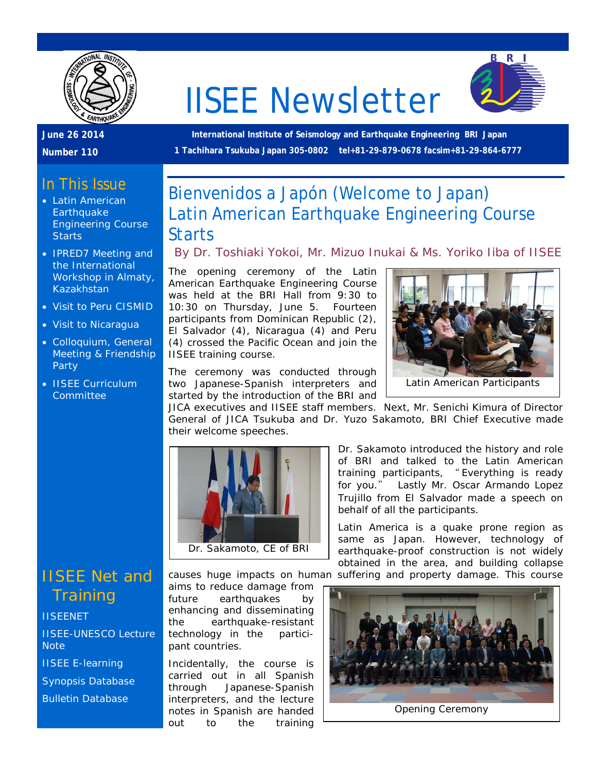

# IISEE Newsletter



**June 26 2014** 

**Number 110**

**International Institute of Seismology and Earthquake Engineering BRI Japan 1 Tachihara Tsukuba Japan 305-0802 tel+81-29-879-0678 facsim+81-29-864-6777**

## In This Issue

- Latin American **Earthquake** Engineering Course **Starts**
- **IPRED7** Meeting and the International Workshop in Almaty, Kazakhstan
- Visit to Peru CISMID
- Visit to Nicaragua
- Colloquium, General Meeting & Friendship Party
- **IISEE Curriculum Committee**

# Bienvenidos a Japón (Welcome to Japan) Latin American Earthquake Engineering Course

#### **Starts**

#### *By Dr. Toshiaki Yokoi, Mr. Mizuo Inukai & Ms. Yoriko Iiba of IISEE*

The opening ceremony of the Latin American Earthquake Engineering Course was held at the BRI Hall from 9:30 to 10:30 on Thursday, June 5. Fourteen participants from Dominican Republic (2), El Salvador (4), Nicaragua (4) and Peru (4) crossed the Pacific Ocean and join the IISEE training course.

The ceremony was conducted through two Japanese-Spanish interpreters and started by the introduction of the BRI and



JICA executives and IISEE staff members. Next, Mr. Senichi Kimura of Director General of JICA Tsukuba and Dr. Yuzo Sakamoto, BRI Chief Executive made their welcome speeches.



Dr. Sakamoto introduced the history and role of BRI and talked to the Latin American training participants, " Everything is ready for you." Lastly Mr. Oscar Armando Lopez Trujillo from El Salvador made a speech on behalf of all the participants.

Latin America is a quake prone region as same as Japan. However, technology of earthquake-proof construction is not widely obtained in the area, and building collapse causes huge impacts on human suffering and property damage. This course



IISEE Net and **Training** 

**[IISEENET](http://iisee.kenken.go.jp/net/)** 

[IISEE-UNESCO Lecture](http://iisee/lna/)  **[Note](http://iisee/lna/)** 

[IISEE E-learning](http://iisee/el/)

[Synopsis Database](http://iisee/syndb/)

[Bulletin Database](http://iisee/bltndb/)

aims to reduce damage from future earthquakes by enhancing and disseminating the earthquake-resistant technology in the participant countries.

Incidentally, the course is carried out in all Spanish through Japanese-Spanish interpreters, and the lecture notes in Spanish are handed out to the training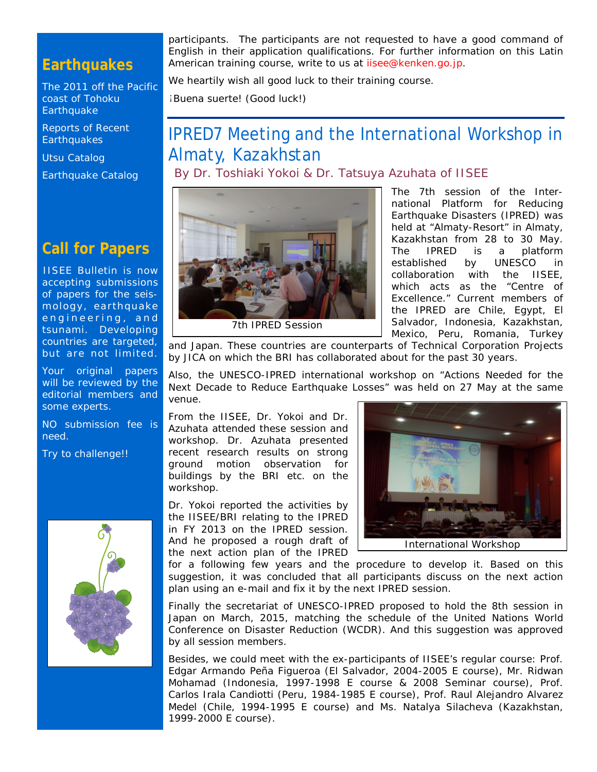# **Earthquakes**

[The 2011 off the Pacific](http://iisee/special2/20110311tohoku.htm)  [coast of Tohoku](http://iisee/special2/20110311tohoku.htm)  **[Earthquake](http://iisee/special2/20110311tohoku.htm)** 

[Reports of Recent](http://iisee/quakes.htm)  **[Earthquakes](http://iisee/quakes.htm)** 

[Utsu Catalog](http://iisee/utsu/index_eng.html)

[Earthquake Catalog](http://iisee/eqcat/Top_page_en.htm)

### **Call for Papers**

IISEE Bulletin is now accepting submissions of papers for the seismology, earthquake engineering, and tsunami. Developing countries are targeted, but are not limited.

Your original papers will be reviewed by the editorial members and some experts.

NO submission fee is need.

Try to challenge!!



participants. The participants are not requested to have a good command of English in their application qualifications. For further information on this Latin American training course, write to us at iisee@kenken.go.jp.

We heartily wish all good luck to their training course.

¡Buena suerte! (Good luck!)

# IPRED7 Meeting and the International Workshop in Almaty, Kazakhstan

*By Dr. Toshiaki Yokoi & Dr. Tatsuya Azuhata of IISEE*



The 7th session of the International Platform for Reducing Earthquake Disasters (IPRED) was held at "Almaty-Resort" in Almaty, Kazakhstan from 28 to 30 May. The IPRED is a platform established by UNESCO in collaboration with the IISEE, which acts as the "Centre of Excellence." Current members of the IPRED are Chile, Egypt, El Salvador, Indonesia, Kazakhstan, Mexico, Peru, Romania, Turkey

and Japan. These countries are counterparts of Technical Corporation Projects by JICA on which the BRI has collaborated about for the past 30 years.

Also, the UNESCO-IPRED international workshop on "Actions Needed for the Next Decade to Reduce Earthquake Losses" was held on 27 May at the same venue.

From the IISEE, Dr. Yokoi and Dr. Azuhata attended these session and workshop. Dr. Azuhata presented recent research results on strong ground motion observation for buildings by the BRI etc. on the workshop.

Dr. Yokoi reported the activities by the IISEE/BRI relating to the IPRED in FY 2013 on the IPRED session. And he proposed a rough draft of the next action plan of the IPRED



International Workshop

for a following few years and the procedure to develop it. Based on this suggestion, it was concluded that all participants discuss on the next action plan using an e-mail and fix it by the next IPRED session.

Finally the secretariat of UNESCO-IPRED proposed to hold the 8th session in Japan on March, 2015, matching the schedule of the United Nations World Conference on Disaster Reduction (WCDR). And this suggestion was approved by all session members.

Besides, we could meet with the ex-participants of IISEE's regular course: Prof. Edgar Armando Peña Figueroa (El Salvador, 2004-2005 E course), Mr. Ridwan Mohamad (Indonesia, 1997-1998 E course & 2008 Seminar course), Prof. Carlos Irala Candiotti (Peru, 1984-1985 E course), Prof. Raul Alejandro Alvarez Medel (Chile, 1994-1995 E course) and Ms. Natalya Silacheva (Kazakhstan, 1999-2000 E course).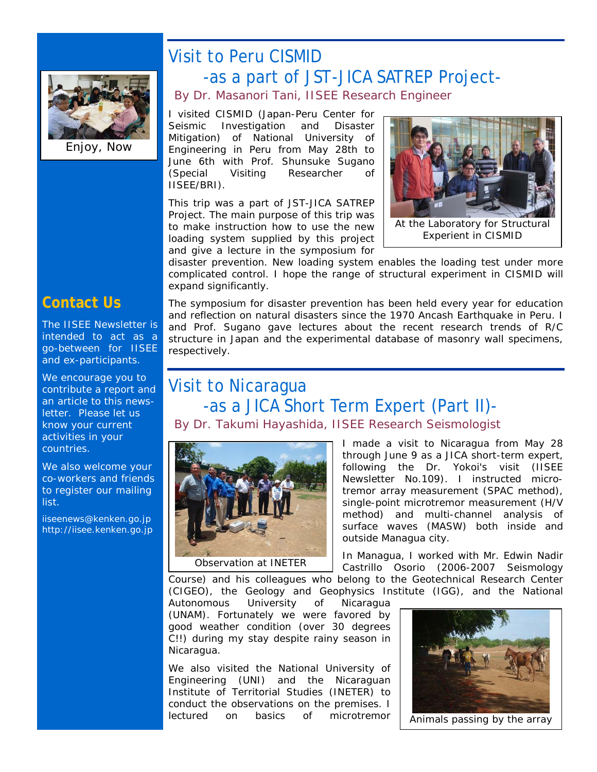

Enjoy, Now

# Visit to Peru CISMID -as a part of JST-JICA SATREP Project- *By Dr. Masanori Tani, IISEE Research Engineer*

I visited CISMID (Japan-Peru Center for Seismic Investigation and Disaster Mitigation) of National University of Engineering in Peru from May 28th to June 6th with Prof. Shunsuke Sugano (Special Visiting Researcher of IISEE/BRI).

This trip was a part of JST-JICA SATREP Project. The main purpose of this trip was to make instruction how to use the new loading system supplied by this project and give a lecture in the symposium for



At the Laboratory for Structural Experient in CISMID

disaster prevention. New loading system enables the loading test under more complicated control. I hope the range of structural experiment in CISMID will expand significantly.

**Contact Us**

The IISEE Newsletter is intended to act as a go-between for IISEE and ex-participants.

We encourage you to contribute a report and an article to this newsletter. Please let us know your current activities in your countries.

We also welcome your co-workers and friends to register our mailing list.

iiseenews@kenken.go.jp [http://iisee.kenken.go.jp](http://iisee.kenken.go.jp/)

The symposium for disaster prevention has been held every year for education and reflection on natural disasters since the 1970 Ancash Earthquake in Peru. I and Prof. Sugano gave lectures about the recent research trends of R/C structure in Japan and the experimental database of masonry wall specimens, respectively.

# Visit to Nicaragua -as a JICA Short Term Expert (Part II)- *By Dr. Takumi Hayashida, IISEE Research Seismologist*



I made a visit to Nicaragua from May 28 through June 9 as a JICA short-term expert, following the Dr. Yokoi's visit (IISEE Newsletter No.109). I instructed microtremor array measurement (SPAC method), single-point microtremor measurement (H/V method) and multi-channel analysis of surface waves (MASW) both inside and outside Managua city.

In Managua, I worked with Mr. Edwin Nadir Castrillo Osorio (2006-2007 Seismology

Course) and his colleagues who belong to the Geotechnical Research Center (CIGEO), the Geology and Geophysics Institute (IGG), and the National

Autonomous University of Nicaragua (UNAM). Fortunately we were favored by good weather condition (over 30 degrees C!!) during my stay despite rainy season in Nicaragua.

We also visited the National University of Engineering (UNI) and the Nicaraguan Institute of Territorial Studies (INETER) to conduct the observations on the premises. I lectured on basics of microtremor